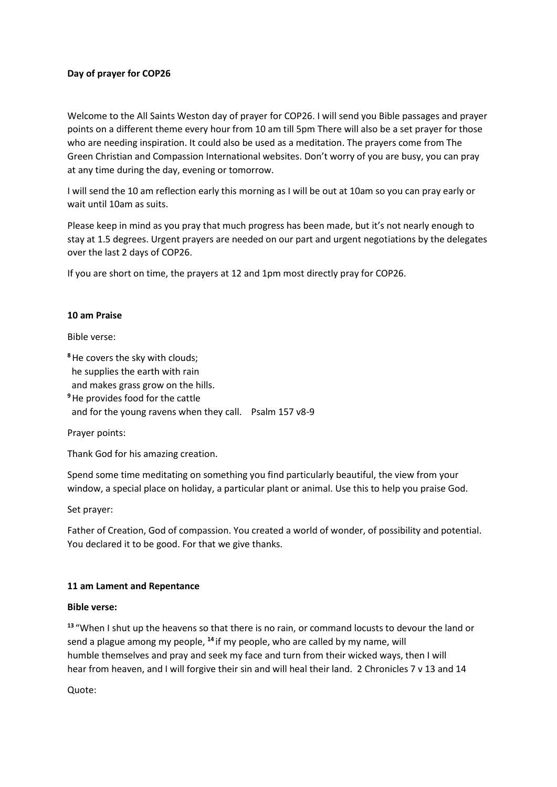### **Day of prayer for COP26**

Welcome to the All Saints Weston day of prayer for COP26. I will send you Bible passages and prayer points on a different theme every hour from 10 am till 5pm There will also be a set prayer for those who are needing inspiration. It could also be used as a meditation. The prayers come from The Green Christian and Compassion International websites. Don't worry of you are busy, you can pray at any time during the day, evening or tomorrow.

I will send the 10 am reflection early this morning as I will be out at 10am so you can pray early or wait until 10am as suits.

Please keep in mind as you pray that much progress has been made, but it's not nearly enough to stay at 1.5 degrees. Urgent prayers are needed on our part and urgent negotiations by the delegates over the last 2 days of COP26.

If you are short on time, the prayers at 12 and 1pm most directly pray for COP26.

#### **10 am Praise**

Bible verse:

**<sup>8</sup>**He covers the sky with clouds; he supplies the earth with rain and makes grass grow on the hills. **<sup>9</sup>**He provides food for the cattle and for the young ravens when they call. Psalm 157 v8-9

Prayer points:

Thank God for his amazing creation.

Spend some time meditating on something you find particularly beautiful, the view from your window, a special place on holiday, a particular plant or animal. Use this to help you praise God.

Set prayer:

Father of Creation, God of compassion. You created a world of wonder, of possibility and potential. You declared it to be good. For that we give thanks.

#### **11 am Lament and Repentance**

#### **Bible verse:**

**<sup>13</sup>** "When I shut up the heavens so that there is no rain, or command locusts to devour the land or send a plague among my people, **<sup>14</sup>** if my people, who are called by my name, will humble themselves and pray and seek my face and turn from their wicked ways, then I will hear from heaven, and I will forgive their sin and will heal their land. 2 Chronicles 7 v 13 and 14

Quote: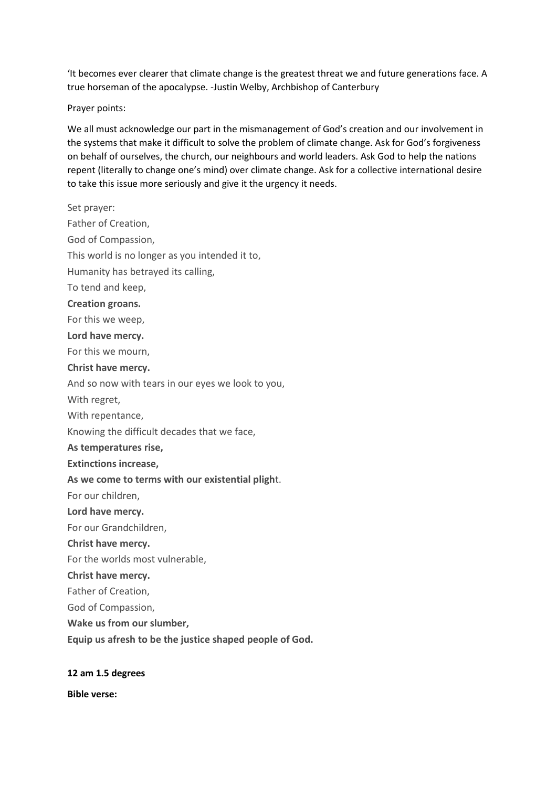'It becomes ever clearer that climate change is the greatest threat we and future generations face. A true horseman of the apocalypse. -Justin Welby, Archbishop of Canterbury

Prayer points:

We all must acknowledge our part in the mismanagement of God's creation and our involvement in the systems that make it difficult to solve the problem of climate change. Ask for God's forgiveness on behalf of ourselves, the church, our neighbours and world leaders. Ask God to help the nations repent (literally to change one's mind) over climate change. Ask for a collective international desire to take this issue more seriously and give it the urgency it needs.

Set prayer: Father of Creation, God of Compassion, This world is no longer as you intended it to, Humanity has betrayed its calling, To tend and keep, **Creation groans.** For this we weep, **Lord have mercy.** For this we mourn, **Christ have mercy.** And so now with tears in our eyes we look to you, With regret, With repentance, Knowing the difficult decades that we face, **As temperatures rise, Extinctions increase, As we come to terms with our existential pligh**t. For our children, **Lord have mercy.** For our Grandchildren, **Christ have mercy.** For the worlds most vulnerable, **Christ have mercy.** Father of Creation, God of Compassion, **Wake us from our slumber, Equip us afresh to be the justice shaped people of God.**

#### **12 am 1.5 degrees**

**Bible verse:**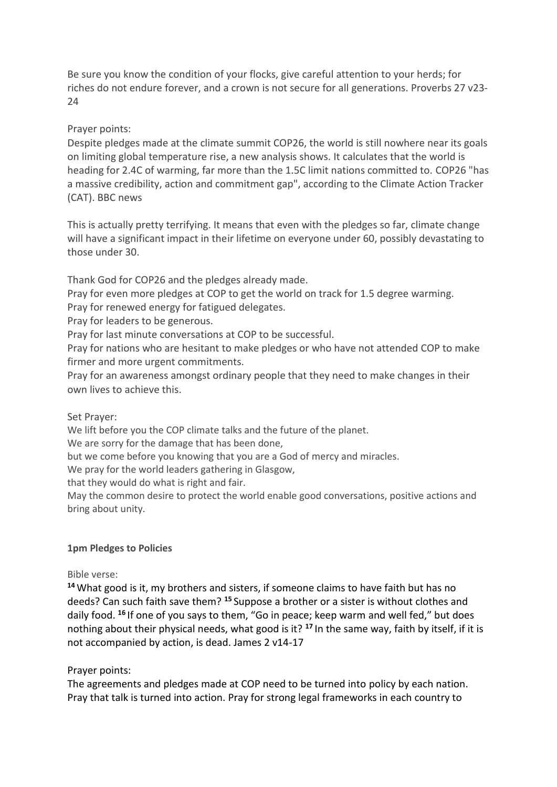Be sure you know the condition of your flocks, give careful attention to your herds; for riches do not endure forever, and a crown is not secure for all generations. Proverbs 27 v23-  $24$ 

## Prayer points:

Despite pledges made at the climate summit COP26, the world is still nowhere near its goals on limiting global temperature rise, a new analysis shows. It calculates that the world is heading for 2.4C of warming, far more than the 1.5C limit nations committed to. COP26 "has a massive credibility, action and commitment gap", according to the Climate Action Tracker (CAT). BBC news

This is actually pretty terrifying. It means that even with the pledges so far, climate change will have a significant impact in their lifetime on everyone under 60, possibly devastating to those under 30.

Thank God for COP26 and the pledges already made.

Pray for even more pledges at COP to get the world on track for 1.5 degree warming.

Pray for renewed energy for fatigued delegates.

Pray for leaders to be generous.

Pray for last minute conversations at COP to be successful.

Pray for nations who are hesitant to make pledges or who have not attended COP to make firmer and more urgent commitments.

Pray for an awareness amongst ordinary people that they need to make changes in their own lives to achieve this.

### Set Prayer:

We lift before you the COP climate talks and the future of the planet.

We are sorry for the damage that has been done,

but we come before you knowing that you are a God of mercy and miracles.

We pray for the world leaders gathering in Glasgow,

that they would do what is right and fair.

May the common desire to protect the world enable good conversations, positive actions and bring about unity.

### **1pm Pledges to Policies**

### Bible verse:

**<sup>14</sup>** What good is it, my brothers and sisters, if someone claims to have faith but has no deeds? Can such faith save them? **<sup>15</sup>** Suppose a brother or a sister is without clothes and daily food. **<sup>16</sup>** If one of you says to them, "Go in peace; keep warm and well fed," but does nothing about their physical needs, what good is it? **<sup>17</sup>** In the same way, faith by itself, if it is not accompanied by action, is dead. James 2 v14-17

### Prayer points:

The agreements and pledges made at COP need to be turned into policy by each nation. Pray that talk is turned into action. Pray for strong legal frameworks in each country to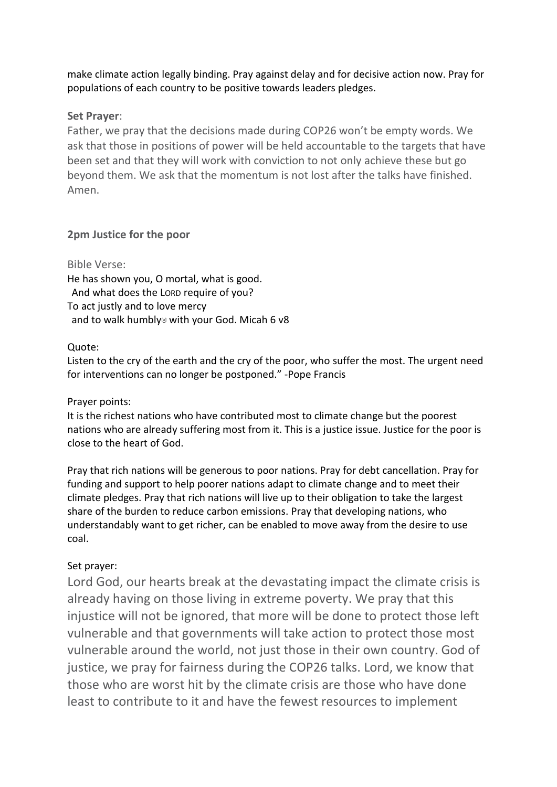make climate action legally binding. Pray against delay and for decisive action now. Pray for populations of each country to be positive towards leaders pledges.

## **Set Prayer**:

Father, we pray that the decisions made during COP26 won't be empty words. We ask that those in positions of power will be held accountable to the targets that have been set and that they will work with conviction to not only achieve these but go beyond them. We ask that the momentum is not lost after the talks have finished. Amen.

# **2pm Justice for the poor**

## Bible Verse:

He has shown you, O mortal, what is good. And what does the LORD require of you? To act justly and to love mercy and to walk humbly<br/>a with your God. Micah 6 v8

# Quote:

Listen to the cry of the earth and the cry of the poor, who suffer the most. The urgent need for interventions can no longer be postponed." -Pope Francis

## Prayer points:

It is the richest nations who have contributed most to climate change but the poorest nations who are already suffering most from it. This is a justice issue. Justice for the poor is close to the heart of God.

Pray that rich nations will be generous to poor nations. Pray for debt cancellation. Pray for funding and support to help poorer nations adapt to climate change and to meet their climate pledges. Pray that rich nations will live up to their obligation to take the largest share of the burden to reduce carbon emissions. Pray that developing nations, who understandably want to get richer, can be enabled to move away from the desire to use coal.

# Set prayer:

Lord God, our hearts break at the devastating impact the climate crisis is already having on those living in extreme poverty. We pray that this injustice will not be ignored, that more will be done to protect those left vulnerable and that governments will take action to protect those most vulnerable around the world, not just those in their own country. God of justice, we pray for fairness during the COP26 talks. Lord, we know that those who are worst hit by the climate crisis are those who have done least to contribute to it and have the fewest resources to implement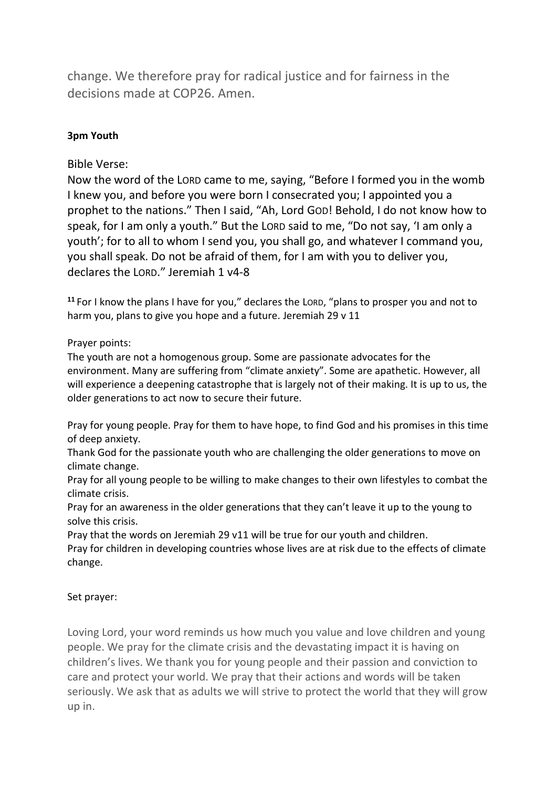change. We therefore pray for radical justice and for fairness in the decisions made at COP26. Amen.

# **3pm Youth**

Bible Verse:

Now the word of the LORD came to me, saying, "Before I formed you in the womb I knew you, and before you were born I consecrated you; I appointed you a prophet to the nations." Then I said, "Ah, Lord GOD! Behold, I do not know how to speak, for I am only a youth." But the LORD said to me, "Do not say, 'I am only a youth'; for to all to whom I send you, you shall go, and whatever I command you, you shall speak. Do not be afraid of them, for I am with you to deliver you, declares the LORD." Jeremiah 1 v4-8

**<sup>11</sup>** For I know the plans I have for you," declares the LORD, "plans to prosper you and not to harm you, plans to give you hope and a future. Jeremiah 29 v 11

## Prayer points:

The youth are not a homogenous group. Some are passionate advocates for the environment. Many are suffering from "climate anxiety". Some are apathetic. However, all will experience a deepening catastrophe that is largely not of their making. It is up to us, the older generations to act now to secure their future.

Pray for young people. Pray for them to have hope, to find God and his promises in this time of deep anxiety.

Thank God for the passionate youth who are challenging the older generations to move on climate change.

Pray for all young people to be willing to make changes to their own lifestyles to combat the climate crisis.

Pray for an awareness in the older generations that they can't leave it up to the young to solve this crisis.

Pray that the words on Jeremiah 29 v11 will be true for our youth and children.

Pray for children in developing countries whose lives are at risk due to the effects of climate change.

## Set prayer:

Loving Lord, your word reminds us how much you value and love children and young people. We pray for the climate crisis and the devastating impact it is having on children's lives. We thank you for young people and their passion and conviction to care and protect your world. We pray that their actions and words will be taken seriously. We ask that as adults we will strive to protect the world that they will grow up in.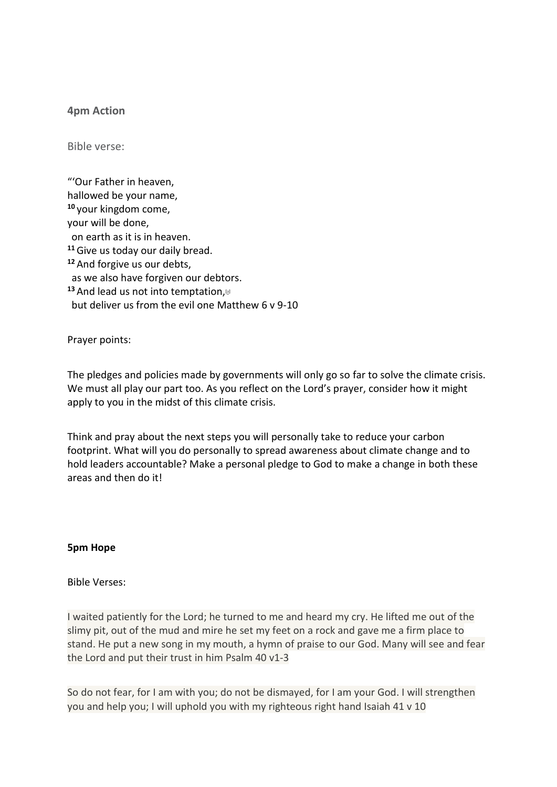### **4pm Action**

Bible verse:

"'Our Father in heaven, hallowed be your name, **<sup>10</sup>** your kingdom come, your will be done, on earth as it is in heaven. **<sup>11</sup>**Give us today our daily bread. **<sup>12</sup>** And forgive us our debts, as we also have forgiven our debtors. 13 And lead us not into temptation, a but deliver us from the evil one Matthew 6 v 9-10

Prayer points:

The pledges and policies made by governments will only go so far to solve the climate crisis. We must all play our part too. As you reflect on the Lord's prayer, consider how it might apply to you in the midst of this climate crisis.

Think and pray about the next steps you will personally take to reduce your carbon footprint. What will you do personally to spread awareness about climate change and to hold leaders accountable? Make a personal pledge to God to make a change in both these areas and then do it!

#### **5pm Hope**

#### Bible Verses:

I waited patiently for the Lord; he turned to me and heard my cry. He lifted me out of the slimy pit, out of the mud and mire he set my feet on a rock and gave me a firm place to stand. He put a new song in my mouth, a hymn of praise to our God. Many will see and fear the Lord and put their trust in him Psalm 40 v1-3

So do not fear, for I am with you; do not be dismayed, for I am your God. I will strengthen you and help you; I will uphold you with my righteous right hand Isaiah 41 v 10